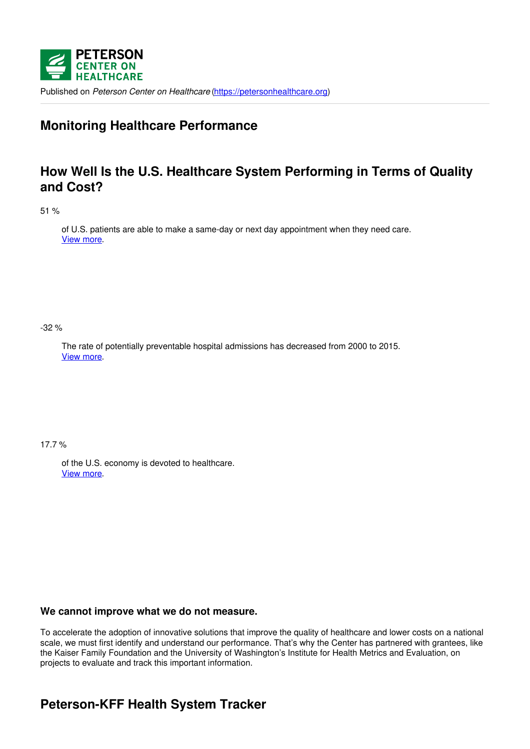

Published on *Peterson Center on Healthcare* [\(https://petersonhealthcare.org](https://petersonhealthcare.org))

## **Monitoring Healthcare Performance**

## **How Well Is the U.S. Healthcare System Performing in Terms of Quality and Cost?**

51 %

of U.S. patients are able to make a same-day or next day appointment when they need care. View [more](https://www.healthsystemtracker.org/indicator/access-affordability/4578-2/).

-32 %

The rate of potentially preventable hospital admissions has decreased from 2000 to 2015. View [more](https://www.healthsystemtracker.org/indicator/quality/preventable-hospital-admissions/).

17.7 %

of the U.S. economy is devoted to healthcare. View [more](https://www.healthsystemtracker.org/indicator/spending/health-expenditure-gdp/).

### **We cannot improve what we do not measure.**

To accelerate the adoption of innovative solutions that improve the quality of healthcare and lower costs on a national scale, we must first identify and understand our performance. That's why the Center has partnered with grantees, like the Kaiser Family Foundation and the University of Washington's Institute for Health Metrics and Evaluation, on projects to evaluate and track this important information.

# **Peterson-KFF Health System Tracker**